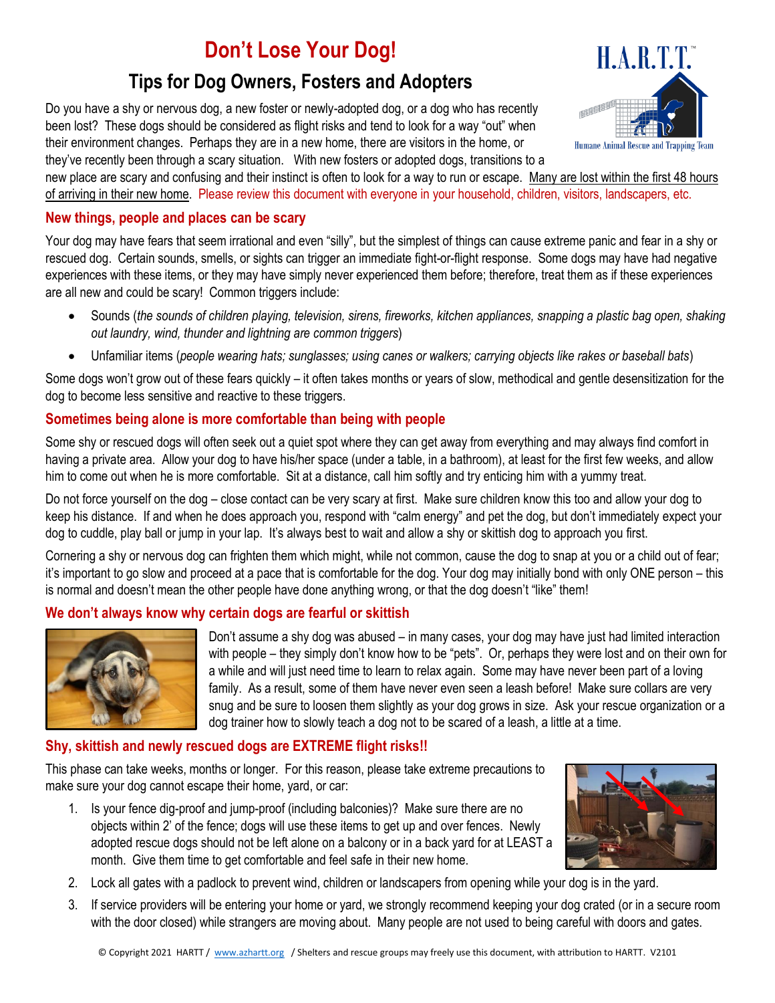# **Don't Lose Your Dog!**

## **Tips for Dog Owners, Fosters and Adopters**

Do you have a shy or nervous dog, a new foster or newly-adopted dog, or a dog who has recently been lost? These dogs should be considered as flight risks and tend to look for a way "out" when their environment changes. Perhaps they are in a new home, there are visitors in the home, or they've recently been through a scary situation. With new fosters or adopted dogs, transitions to a



new place are scary and confusing and their instinct is often to look for a way to run or escape. Many are lost within the first 48 hours of arriving in their new home. Please review this document with everyone in your household, children, visitors, landscapers, etc.

#### **New things, people and places can be scary**

Your dog may have fears that seem irrational and even "silly", but the simplest of things can cause extreme panic and fear in a shy or rescued dog. Certain sounds, smells, or sights can trigger an immediate fight-or-flight response. Some dogs may have had negative experiences with these items, or they may have simply never experienced them before; therefore, treat them as if these experiences are all new and could be scary! Common triggers include:

- Sounds (*the sounds of children playing, television, sirens, fireworks, kitchen appliances, snapping a plastic bag open, shaking out laundry, wind, thunder and lightning are common triggers*)
- Unfamiliar items (*people wearing hats; sunglasses; using canes or walkers; carrying objects like rakes or baseball bats*)

Some dogs won't grow out of these fears quickly – it often takes months or years of slow, methodical and gentle desensitization for the dog to become less sensitive and reactive to these triggers.

#### **Sometimes being alone is more comfortable than being with people**

Some shy or rescued dogs will often seek out a quiet spot where they can get away from everything and may always find comfort in having a private area. Allow your dog to have his/her space (under a table, in a bathroom), at least for the first few weeks, and allow him to come out when he is more comfortable. Sit at a distance, call him softly and try enticing him with a yummy treat.

Do not force yourself on the dog – close contact can be very scary at first. Make sure children know this too and allow your dog to keep his distance. If and when he does approach you, respond with "calm energy" and pet the dog, but don't immediately expect your dog to cuddle, play ball or jump in your lap. It's always best to wait and allow a shy or skittish dog to approach you first.

Cornering a shy or nervous dog can frighten them which might, while not common, cause the dog to snap at you or a child out of fear; it's important to go slow and proceed at a pace that is comfortable for the dog. Your dog may initially bond with only ONE person – this is normal and doesn't mean the other people have done anything wrong, or that the dog doesn't "like" them!

#### **We don't always know why certain dogs are fearful or skittish**



Don't assume a shy dog was abused – in many cases, your dog may have just had limited interaction with people – they simply don't know how to be "pets". Or, perhaps they were lost and on their own for a while and will just need time to learn to relax again. Some may have never been part of a loving family. As a result, some of them have never even seen a leash before! Make sure collars are very snug and be sure to loosen them slightly as your dog grows in size. Ask your rescue organization or a dog trainer how to slowly teach a dog not to be scared of a leash, a little at a time.

#### **Shy, skittish and newly rescued dogs are EXTREME flight risks!!**

This phase can take weeks, months or longer. For this reason, please take extreme precautions to make sure your dog cannot escape their home, yard, or car:

1. Is your fence dig-proof and jump-proof (including balconies)? Make sure there are no objects within 2' of the fence; dogs will use these items to get up and over fences. Newly adopted rescue dogs should not be left alone on a balcony or in a back yard for at LEAST a month. Give them time to get comfortable and feel safe in their new home.



- 2. Lock all gates with a padlock to prevent wind, children or landscapers from opening while your dog is in the yard.
- 3. If service providers will be entering your home or yard, we strongly recommend keeping your dog crated (or in a secure room with the door closed) while strangers are moving about. Many people are not used to being careful with doors and gates.